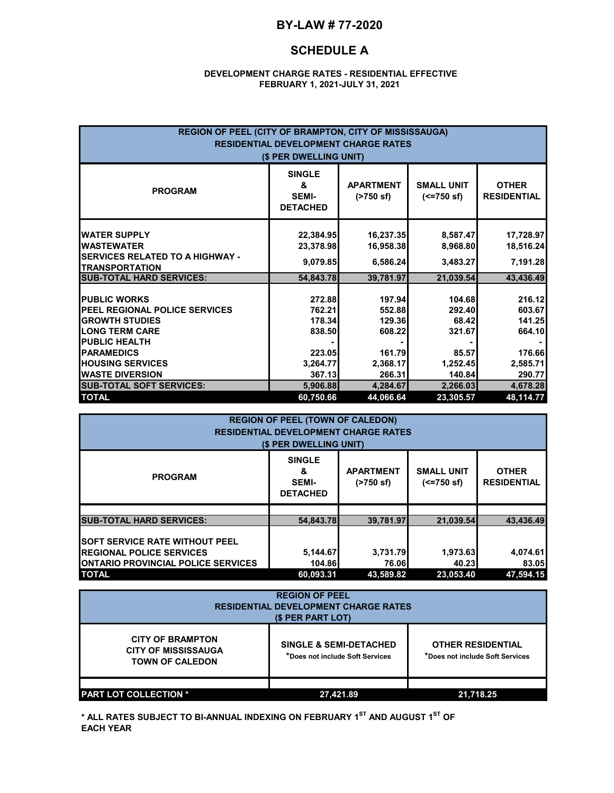### **BY-LAW # 77-2020**

### **SCHEDULE A**

#### **DEVELOPMENT CHARGE RATES - RESIDENTIAL EFFECTIVE FEBRUARY 1, 2021-JULY 31, 2021**

| REGION OF PEEL (CITY OF BRAMPTON, CITY OF MISSISSAUGA)<br><b>RESIDENTIAL DEVELOPMENT CHARGE RATES</b><br>(\$ PER DWELLING UNIT)                                                       |                                                            |                                                            |                                                          |                                                            |
|---------------------------------------------------------------------------------------------------------------------------------------------------------------------------------------|------------------------------------------------------------|------------------------------------------------------------|----------------------------------------------------------|------------------------------------------------------------|
| <b>PROGRAM</b>                                                                                                                                                                        | <b>SINGLE</b><br>&<br><b>SEMI-</b><br><b>DETACHED</b>      | <b>APARTMENT</b><br>(2750 s f)                             | <b>SMALL UNIT</b><br>$(<=750$ sf)                        | <b>OTHER</b><br><b>RESIDENTIAL</b>                         |
| <b>WATER SUPPLY</b><br><b>WASTEWATER</b><br><b>ISERVICES RELATED TO A HIGHWAY -</b><br><b>TRANSPORTATION</b>                                                                          | 22,384.95<br>23,378.98<br>9,079.85                         | 16,237.35<br>16,958.38<br>6,586.24                         | 8,587.47<br>8,968.80<br>3,483.27                         | 17,728.97<br>18,516.24<br>7,191.28                         |
| <b>SUB-TOTAL HARD SERVICES:</b>                                                                                                                                                       | 54,843.78                                                  | 39,781.97                                                  | 21,039.54                                                | 43,436.49                                                  |
| <b>PUBLIC WORKS</b><br><b>PEEL REGIONAL POLICE SERVICES</b><br><b>GROWTH STUDIES</b><br><b>LONG TERM CARE</b><br><b>PUBLIC HEALTH</b><br><b>PARAMEDICS</b><br><b>HOUSING SERVICES</b> | 272.88<br>762.21<br>178.34<br>838.50<br>223.05<br>3,264.77 | 197.94<br>552.88<br>129.36<br>608.22<br>161.79<br>2,368.17 | 104.68<br>292.40<br>68.42<br>321.67<br>85.57<br>1,252.45 | 216.12<br>603.67<br>141.25<br>664.10<br>176.66<br>2,585.71 |
| <b>WASTE DIVERSION</b>                                                                                                                                                                | 367.13                                                     | 266.31                                                     | 140.84                                                   | 290.77                                                     |
| <b>SUB-TOTAL SOFT SERVICES:</b>                                                                                                                                                       | 5,906.88                                                   | 4,284.67                                                   | 2,266.03                                                 | 4,678.28                                                   |
| <b>TOTAL</b>                                                                                                                                                                          | 60,750.66                                                  | 44,066.64                                                  | 23,305.57                                                | 48,114.77                                                  |

| <b>REGION OF PEEL (TOWN OF CALEDON)</b><br><b>RESIDENTIAL DEVELOPMENT CHARGE RATES</b><br>(\$ PER DWELLING UNIT) |                                                                                         |              |                                   |           |
|------------------------------------------------------------------------------------------------------------------|-----------------------------------------------------------------------------------------|--------------|-----------------------------------|-----------|
| <b>PROGRAM</b>                                                                                                   | <b>SINGLE</b><br><b>APARTMENT</b><br>&<br><b>SEMI-</b><br>(2750 s f)<br><b>DETACHED</b> |              | <b>SMALL UNIT</b><br>$(<=750$ sf) |           |
| <b>SUB-TOTAL HARD SERVICES:</b>                                                                                  | 54.843.78                                                                               | 39.781.97    | 21.039.54                         | 43.436.49 |
|                                                                                                                  |                                                                                         |              |                                   |           |
| <b>SOFT SERVICE RATE WITHOUT PEEL</b>                                                                            |                                                                                         |              |                                   |           |
| <b>REGIONAL POLICE SERVICES</b>                                                                                  | 5,144.67                                                                                | 3,731.79     | 1,973.63                          | 4,074.61  |
| <b>ONTARIO PROVINCIAL POLICE SERVICES</b>                                                                        | 104.86                                                                                  | <b>76.06</b> | 40.23                             | 83.05     |
| <b>TOTAL</b>                                                                                                     | 60.093.31                                                                               | 43.589.82    | 23.053.40                         | 47.594.15 |

| <b>REGION OF PEEL</b><br><b>RESIDENTIAL DEVELOPMENT CHARGE RATES</b><br>(\$ PER PART LOT) |                                                                      |                                                             |  |
|-------------------------------------------------------------------------------------------|----------------------------------------------------------------------|-------------------------------------------------------------|--|
| <b>CITY OF BRAMPTON</b><br><b>CITY OF MISSISSAUGA</b><br><b>TOWN OF CALEDON</b>           | <b>SINGLE &amp; SEMI-DETACHED</b><br>*Does not include Soft Services | <b>OTHER RESIDENTIAL</b><br>*Does not include Soft Services |  |
| <b>PART LOT COLLECTION *</b>                                                              | 27,421.89                                                            | 21.718.25                                                   |  |

**\* ALL RATES SUBJECT TO BI-ANNUAL INDEXING ON FEBRUARY 1ST AND AUGUST 1ST OF EACH YEAR**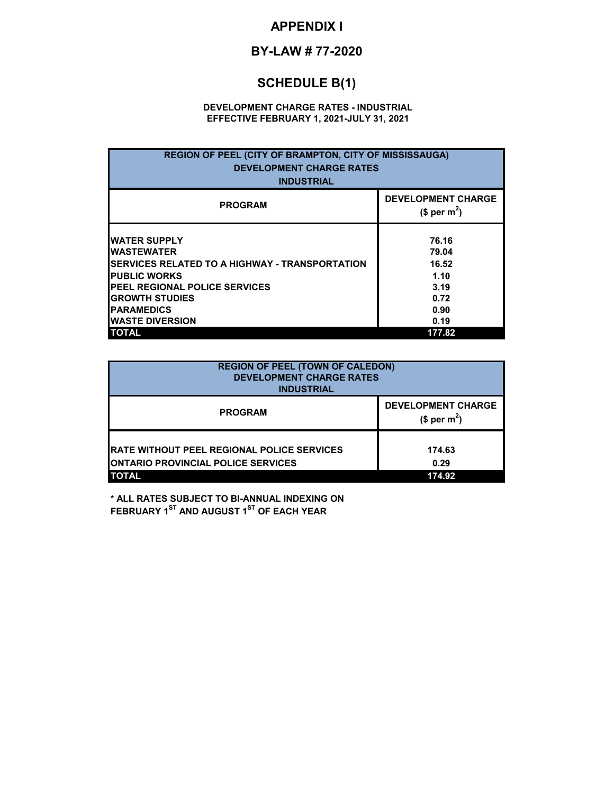## **APPENDIX I**

# **BY-LAW # 77-2020**

# **SCHEDULE B(1)**

#### **DEVELOPMENT CHARGE RATES - INDUSTRIAL EFFECTIVE FEBRUARY 1, 2021-JULY 31, 2021**

| <b>REGION OF PEEL (CITY OF BRAMPTON, CITY OF MISSISSAUGA)</b><br><b>DEVELOPMENT CHARGE RATES</b><br><b>INDUSTRIAL</b>                                                                                                                        |                                                                 |  |
|----------------------------------------------------------------------------------------------------------------------------------------------------------------------------------------------------------------------------------------------|-----------------------------------------------------------------|--|
| <b>PROGRAM</b>                                                                                                                                                                                                                               | <b>DEVELOPMENT CHARGE</b><br>$$per~m^2$$                        |  |
| <b>WATER SUPPLY</b><br><b>IWASTEWATER</b><br><b>ISERVICES RELATED TO A HIGHWAY - TRANSPORTATION</b><br><b>PUBLIC WORKS</b><br><b>IPEEL REGIONAL POLICE SERVICES</b><br><b>GROWTH STUDIES</b><br><b>IPARAMEDICS</b><br><b>WASTE DIVERSION</b> | 76.16<br>79.04<br>16.52<br>1.10<br>3.19<br>0.72<br>0.90<br>0.19 |  |

| <b>REGION OF PEEL (TOWN OF CALEDON)</b><br><b>DEVELOPMENT CHARGE RATES</b><br><b>INDUSTRIAL</b> |                                                       |  |
|-------------------------------------------------------------------------------------------------|-------------------------------------------------------|--|
| <b>PROGRAM</b>                                                                                  | <b>DEVELOPMENT CHARGE</b><br>(\$ per m <sup>2</sup> ) |  |
| <b>RATE WITHOUT PEEL REGIONAL POLICE SERVICES</b><br><b>ONTARIO PROVINCIAL POLICE SERVICES</b>  | 174.63<br>0.29                                        |  |
| <b>TOTAL</b><br>174.92                                                                          |                                                       |  |

**\* ALL RATES SUBJECT TO BI-ANNUAL INDEXING ON FEBRUARY 1ST AND AUGUST 1ST OF EACH YEAR**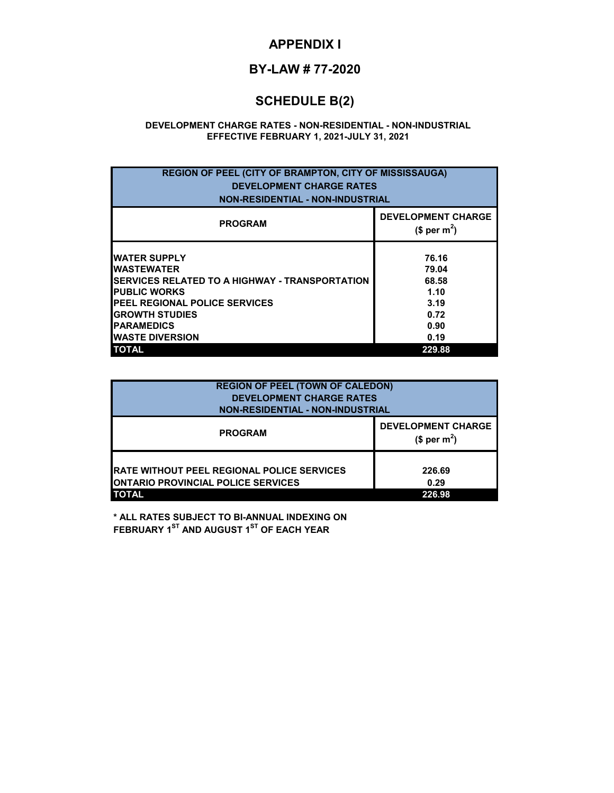### **APPENDIX I**

## **BY-LAW # 77-2020**

# **SCHEDULE B(2)**

#### **DEVELOPMENT CHARGE RATES - NON-RESIDENTIAL - NON-INDUSTRIAL EFFECTIVE FEBRUARY 1, 2021-JULY 31, 2021**

| <b>REGION OF PEEL (CITY OF BRAMPTON, CITY OF MISSISSAUGA)</b><br><b>DEVELOPMENT CHARGE RATES</b><br><b>NON-RESIDENTIAL - NON-INDUSTRIAL</b>                                                                                                                  |                                                                           |  |  |
|--------------------------------------------------------------------------------------------------------------------------------------------------------------------------------------------------------------------------------------------------------------|---------------------------------------------------------------------------|--|--|
| <b>PROGRAM</b>                                                                                                                                                                                                                                               | <b>DEVELOPMENT CHARGE</b><br>$$$ per m <sup>2</sup> )                     |  |  |
| <b>WATER SUPPLY</b><br><b>IWASTEWATER</b><br><b>ISERVICES RELATED TO A HIGHWAY - TRANSPORTATION</b><br><b>PUBLIC WORKS</b><br><b>IPEEL REGIONAL POLICE SERVICES</b><br><b>GROWTH STUDIES</b><br><b>IPARAMEDICS</b><br><b>WASTE DIVERSION</b><br><b>TOTAL</b> | 76.16<br>79.04<br>68.58<br>1.10<br>3.19<br>0.72<br>0.90<br>0.19<br>229.88 |  |  |

| <b>REGION OF PEEL (TOWN OF CALEDON)</b><br><b>DEVELOPMENT CHARGE RATES</b><br><b>NON-RESIDENTIAL - NON-INDUSTRIAL</b> |                                          |  |
|-----------------------------------------------------------------------------------------------------------------------|------------------------------------------|--|
| <b>PROGRAM</b>                                                                                                        | <b>DEVELOPMENT CHARGE</b><br>$$per~m2$ ) |  |
| <b>IRATE WITHOUT PEEL REGIONAL POLICE SERVICES</b><br><b>ONTARIO PROVINCIAL POLICE SERVICES</b><br><b>TOTAL</b>       | 226.69<br>0.29<br>226.98                 |  |

**\* ALL RATES SUBJECT TO BI-ANNUAL INDEXING ON FEBRUARY 1ST AND AUGUST 1ST OF EACH YEAR**